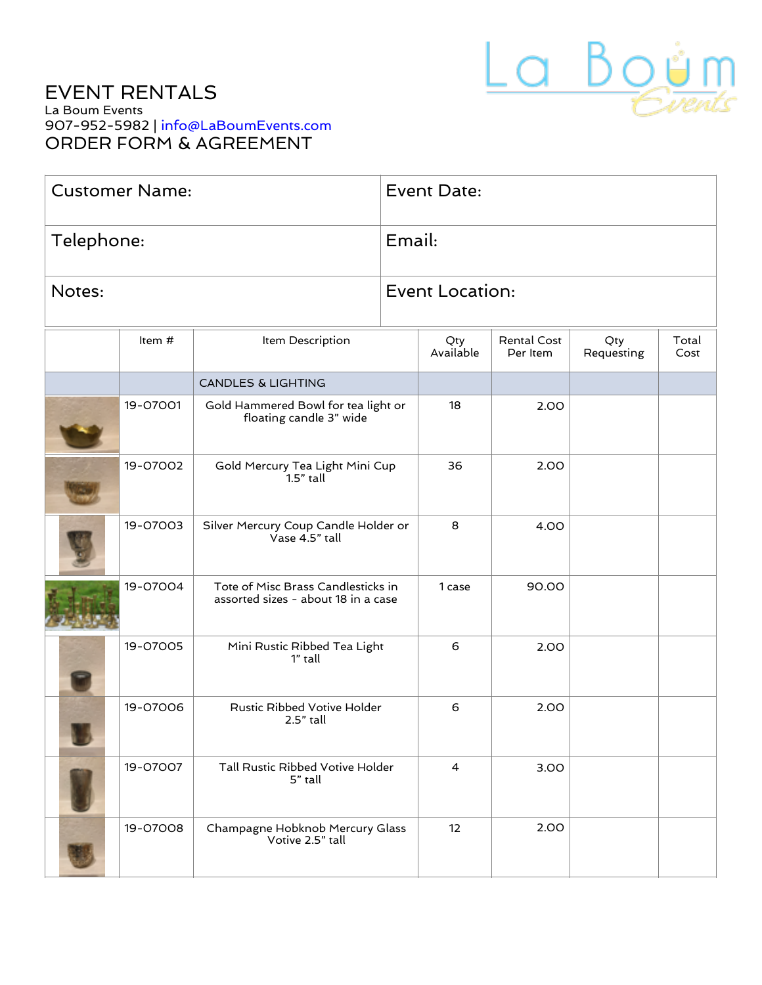

# EVENT RENTALS La Boum Events 907-952-5982 | [info@LaBoumEvents.com](mailto:info@LaBoumEvents.com) ORDER FORM & AGREEMENT

| <b>Customer Name:</b> |          |                                                                           | <b>Event Date:</b>           |                        |                         |                   |               |  |
|-----------------------|----------|---------------------------------------------------------------------------|------------------------------|------------------------|-------------------------|-------------------|---------------|--|
| Telephone:            |          |                                                                           | Email:                       |                        |                         |                   |               |  |
| Notes:                |          |                                                                           |                              | <b>Event Location:</b> |                         |                   |               |  |
|                       | Item $#$ | Item Description                                                          |                              | Qty<br>Available       | Rental Cost<br>Per Item | Qty<br>Requesting | Total<br>Cost |  |
|                       |          | <b>CANDLES &amp; LIGHTING</b>                                             |                              |                        |                         |                   |               |  |
|                       | 19-07001 | Gold Hammered Bowl for tea light or<br>floating candle 3" wide            |                              | 18                     | 2.00                    |                   |               |  |
|                       | 19-07002 | Gold Mercury Tea Light Mini Cup<br>$1.5"$ tall                            |                              | 36                     | 2.00                    |                   |               |  |
|                       | 19-07003 | Silver Mercury Coup Candle Holder or<br>Vase 4.5" tall                    |                              | 8                      | 4.00                    |                   |               |  |
|                       | 19-07004 | Tote of Misc Brass Candlesticks in<br>assorted sizes - about 18 in a case |                              | 1 case                 | 90.00                   |                   |               |  |
|                       | 19-07005 | 1" tall                                                                   | Mini Rustic Ribbed Tea Light |                        | 2.00                    |                   |               |  |
|                       | 19-07006 | Rustic Ribbed Votive Holder<br>$2.5"$ tall                                |                              | 6                      | 2.00                    |                   |               |  |
|                       | 19-07007 | Tall Rustic Ribbed Votive Holder<br>5" tall                               |                              | $\overline{4}$         | 3.00                    |                   |               |  |
|                       | 19-07008 | Champagne Hobknob Mercury Glass<br>Votive 2.5" tall                       |                              | 12                     | 2.00                    |                   |               |  |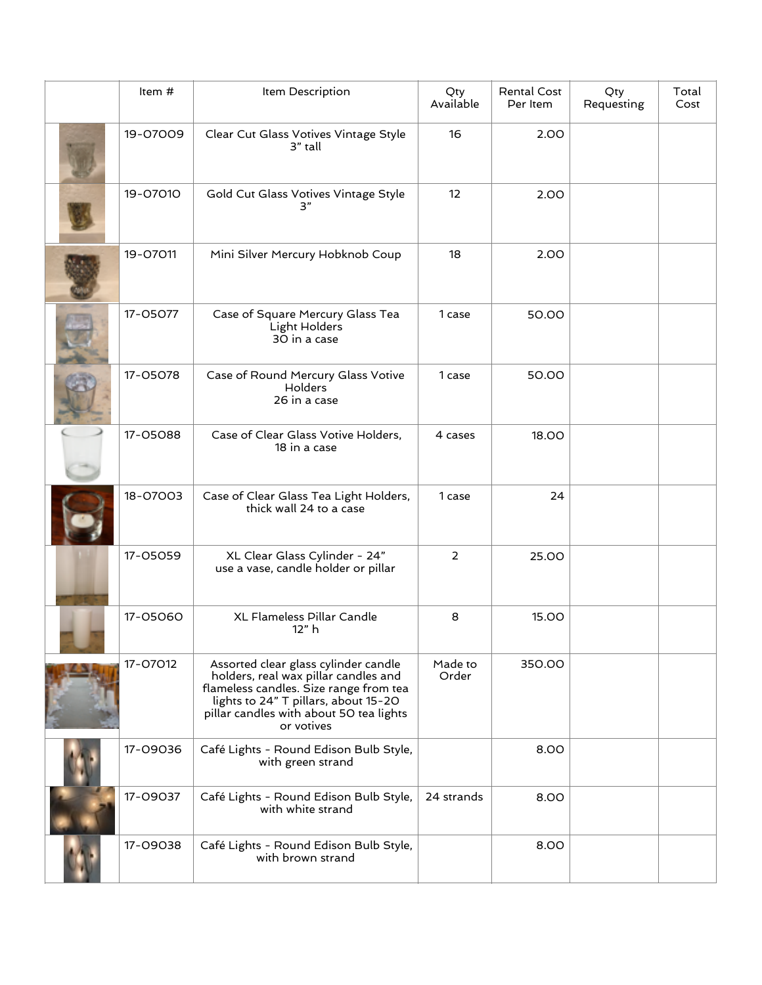| Item#    | Item Description                                                                                                                                                                                                        | Qty<br>Available | Rental Cost<br>Per Item | Qty<br>Requesting | Total<br>Cost |
|----------|-------------------------------------------------------------------------------------------------------------------------------------------------------------------------------------------------------------------------|------------------|-------------------------|-------------------|---------------|
| 19-07009 | Clear Cut Glass Votives Vintage Style<br>3" tall                                                                                                                                                                        | 16               | 2.00                    |                   |               |
| 19-07010 | Gold Cut Glass Votives Vintage Style<br>3"                                                                                                                                                                              | 12               | 2.00                    |                   |               |
| 19-07011 | Mini Silver Mercury Hobknob Coup                                                                                                                                                                                        | 18               | 2.00                    |                   |               |
| 17-05077 | Case of Square Mercury Glass Tea<br>Light Holders<br>30 in a case                                                                                                                                                       | 1 case           | 50.00                   |                   |               |
| 17-05078 | Case of Round Mercury Glass Votive<br>Holders<br>26 in a case                                                                                                                                                           | 1 case           | 50.00                   |                   |               |
| 17-05088 | Case of Clear Glass Votive Holders,<br>18 in a case                                                                                                                                                                     | 4 cases          | 18.00                   |                   |               |
| 18-07003 | Case of Clear Glass Tea Light Holders,<br>thick wall 24 to a case                                                                                                                                                       | 1 case           | 24                      |                   |               |
| 17-05059 | XL Clear Glass Cylinder - 24"<br>use a vase, candle holder or pillar                                                                                                                                                    | 2                | 25.00                   |                   |               |
| 17-05060 | XL Flameless Pillar Candle<br>12"h                                                                                                                                                                                      | 8                | 15.00                   |                   |               |
| 17-07012 | Assorted clear glass cylinder candle<br>holders, real wax pillar candles and<br>flameless candles. Size range from tea<br>lights to 24" T pillars, about 15-20<br>pillar candles with about 50 tea lights<br>or votives | Made to<br>Order | 350.00                  |                   |               |
| 17-09036 | Café Lights - Round Edison Bulb Style,<br>with green strand                                                                                                                                                             |                  | 8.00                    |                   |               |
| 17-09037 | Café Lights - Round Edison Bulb Style,<br>with white strand                                                                                                                                                             | 24 strands       | 8.00                    |                   |               |
| 17-09038 | Café Lights - Round Edison Bulb Style,<br>with brown strand                                                                                                                                                             |                  | 8.00                    |                   |               |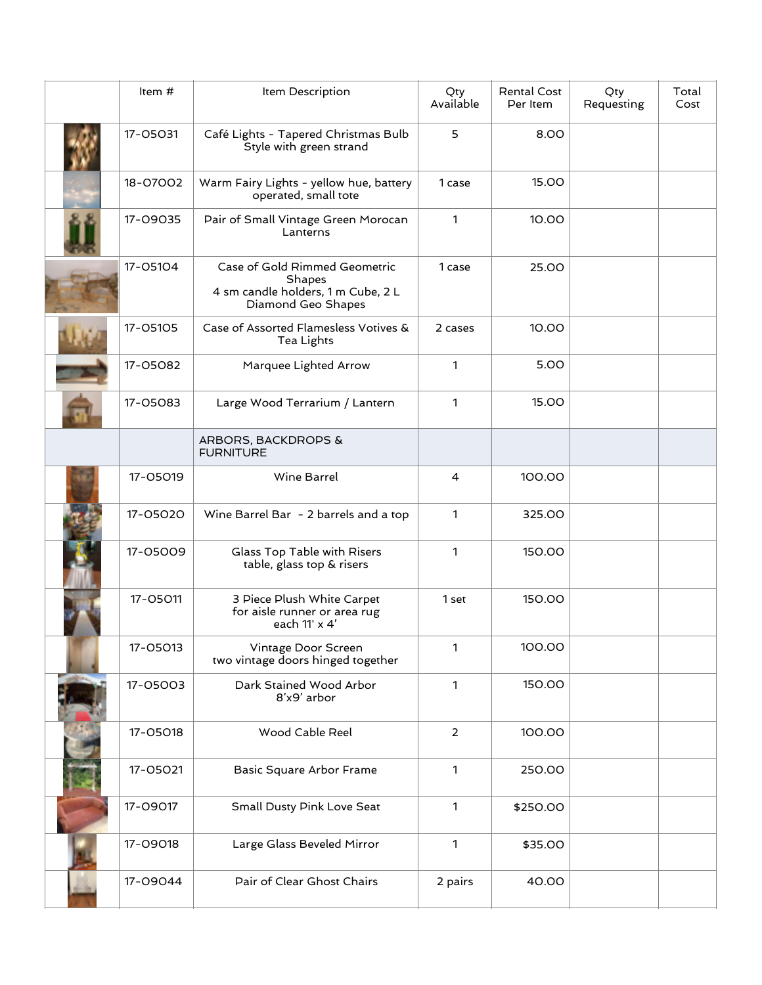| Item #                                     | Item Description                                                                                    | Qty<br>Available | <b>Rental Cost</b><br>Per Item | Qty<br>Requesting | Total<br>Cost |
|--------------------------------------------|-----------------------------------------------------------------------------------------------------|------------------|--------------------------------|-------------------|---------------|
| 17-05031                                   | Café Lights - Tapered Christmas Bulb<br>Style with green strand                                     | 5                | 8.00                           |                   |               |
| 18-07002                                   | Warm Fairy Lights - yellow hue, battery<br>operated, small tote                                     | 1 case           | 15.00                          |                   |               |
| 17-09035                                   | Pair of Small Vintage Green Morocan<br>Lanterns                                                     | $\mathbf{1}$     | 10.00                          |                   |               |
| 17-05104                                   | Case of Gold Rimmed Geometric<br>Shapes<br>4 sm candle holders, 1 m Cube, 2 L<br>Diamond Geo Shapes |                  | 25.00                          |                   |               |
| 17-05105                                   | Case of Assorted Flamesless Votives &<br>Tea Lights                                                 | 2 cases          | 10.00                          |                   |               |
| 17-05082                                   | Marquee Lighted Arrow                                                                               | $\mathbf{1}$     | 5.00                           |                   |               |
| 17-05083<br>Large Wood Terrarium / Lantern |                                                                                                     | 1                | 15.00                          |                   |               |
|                                            | ARBORS, BACKDROPS &<br><b>FURNITURE</b>                                                             |                  |                                |                   |               |
| 17-05019                                   | Wine Barrel                                                                                         | 4                | 100.00                         |                   |               |
| 17-05020                                   | Wine Barrel Bar - 2 barrels and a top                                                               |                  | 325.00                         |                   |               |
| 17-05009                                   | Glass Top Table with Risers<br>table, glass top & risers                                            | 1                | 150.00                         |                   |               |
| 17-05011                                   | 3 Piece Plush White Carpet<br>for aisle runner or area rug<br>each 11' x 4'                         | 1 set            | 150.00                         |                   |               |
| 17-05013                                   | Vintage Door Screen<br>two vintage doors hinged together                                            | 1                | 100.00                         |                   |               |
| 17-05003                                   | Dark Stained Wood Arbor<br>8'x9' arbor                                                              | 1                | 150.00                         |                   |               |
| 17-05018                                   | Wood Cable Reel                                                                                     | $\overline{2}$   | 100.00                         |                   |               |
| 17-05021                                   | Basic Square Arbor Frame                                                                            | 1                | 250.00                         |                   |               |
| 17-09017                                   | Small Dusty Pink Love Seat                                                                          | 1                | \$250.00                       |                   |               |
| 17-09018                                   | Large Glass Beveled Mirror                                                                          | 1                | \$35.00                        |                   |               |
| 17-09044                                   | Pair of Clear Ghost Chairs                                                                          | 2 pairs          | 40.00                          |                   |               |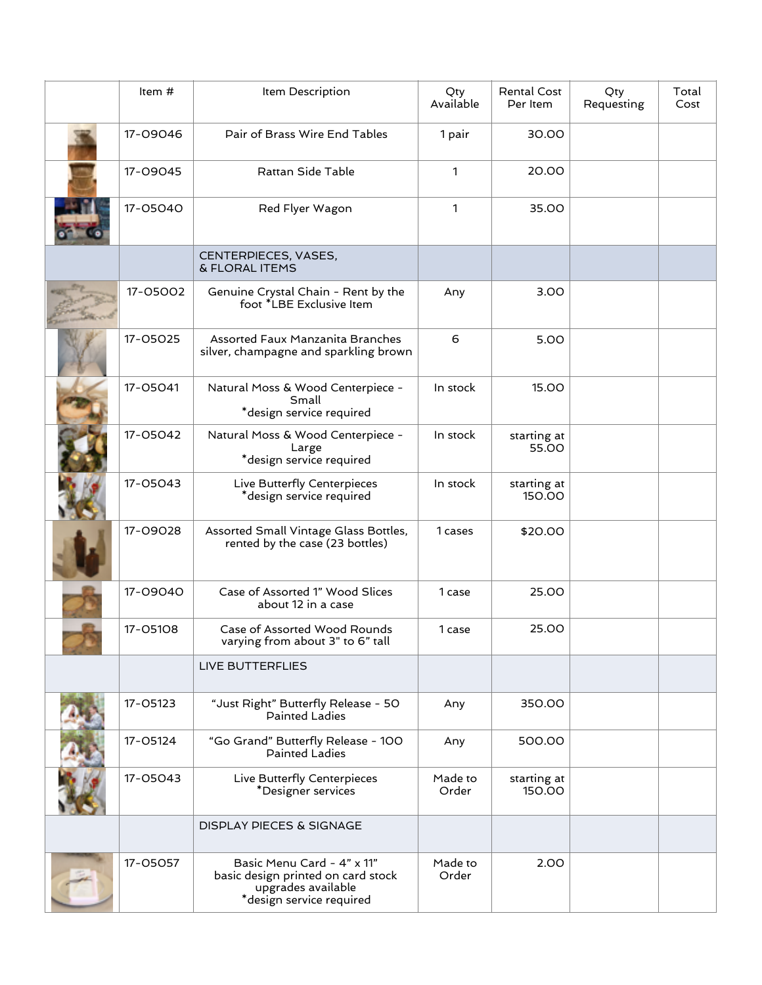| Item #                                                                               | Item Description                                                                                                   | Qty<br>Available | <b>Rental Cost</b><br>Per Item | Qty<br>Requesting | Total<br>Cost |
|--------------------------------------------------------------------------------------|--------------------------------------------------------------------------------------------------------------------|------------------|--------------------------------|-------------------|---------------|
| 17-09046                                                                             | Pair of Brass Wire End Tables                                                                                      | 1 pair           | 30.00                          |                   |               |
| 17-09045                                                                             | Rattan Side Table                                                                                                  | 1                | 20.00                          |                   |               |
| 17-05040                                                                             | Red Flyer Wagon                                                                                                    | 1                | 35.00                          |                   |               |
|                                                                                      | CENTERPIECES, VASES,<br>& FLORAL ITEMS                                                                             |                  |                                |                   |               |
| 17-05002                                                                             | Genuine Crystal Chain - Rent by the<br>foot *LBE Exclusive Item                                                    | Any              | 3.00                           |                   |               |
| 17-05025                                                                             | Assorted Faux Manzanita Branches<br>silver, champagne and sparkling brown                                          | 6                | 5.00                           |                   |               |
| 17-05041                                                                             | Natural Moss & Wood Centerpiece -<br>Small<br>*design service required                                             | In stock         | 15.00                          |                   |               |
| 17-05042<br>Natural Moss & Wood Centerpiece -<br>Large<br>*design service required   |                                                                                                                    | In stock         | starting at<br>55.00           |                   |               |
| 17-05043                                                                             | Live Butterfly Centerpieces<br>*design service required                                                            | In stock         | starting at<br>150.00          |                   |               |
| 17-09028<br>Assorted Small Vintage Glass Bottles,<br>rented by the case (23 bottles) |                                                                                                                    | 1 cases          | \$20.00                        |                   |               |
| 17-09040                                                                             | Case of Assorted 1" Wood Slices<br>about 12 in a case                                                              | 1 case           | 25.00                          |                   |               |
| 17-05108                                                                             | Case of Assorted Wood Rounds<br>varying from about 3" to 6" tall                                                   | 1 case           | 25.00                          |                   |               |
|                                                                                      | LIVE BUTTERFLIES                                                                                                   |                  |                                |                   |               |
| 17-05123                                                                             | "Just Right" Butterfly Release - 50<br>Painted Ladies                                                              | Any              | 350.00                         |                   |               |
| 17-05124                                                                             | "Go Grand" Butterfly Release - 100<br><b>Painted Ladies</b>                                                        | Any              | 500.00                         |                   |               |
| 17-05043                                                                             | Live Butterfly Centerpieces<br>*Designer services                                                                  | Made to<br>Order | starting at<br>150.00          |                   |               |
|                                                                                      | <b>DISPLAY PIECES &amp; SIGNAGE</b>                                                                                |                  |                                |                   |               |
| 17-05057                                                                             | Basic Menu Card - 4" x 11"<br>basic design printed on card stock<br>upgrades available<br>*design service required | Made to<br>Order | 2.00                           |                   |               |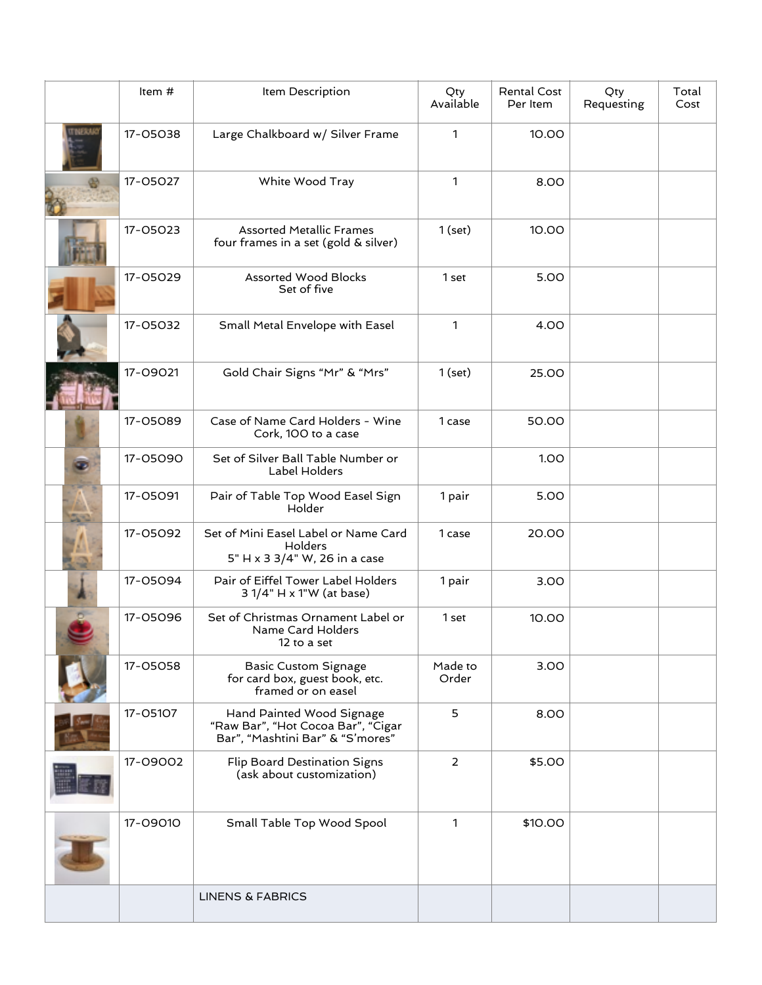| Item #                      | Item Description                                                                                    | Qty<br>Available | Rental Cost<br>Per Item | Qty<br>Requesting | Total<br>Cost |
|-----------------------------|-----------------------------------------------------------------------------------------------------|------------------|-------------------------|-------------------|---------------|
| 17-05038                    | Large Chalkboard w/ Silver Frame                                                                    | 1                | 10.00                   |                   |               |
| 17-05027<br>White Wood Tray |                                                                                                     | $\mathbf{1}$     | 8.00                    |                   |               |
| 17-05023                    | <b>Assorted Metallic Frames</b><br>four frames in a set (gold & silver)                             | $1$ (set)        | 10.00                   |                   |               |
| 17-05029                    | <b>Assorted Wood Blocks</b><br>Set of five                                                          | 1 set            | 5.00                    |                   |               |
| 17-05032                    | Small Metal Envelope with Easel                                                                     | $\mathbf{1}$     | 4.00                    |                   |               |
| 17-09021                    | Gold Chair Signs "Mr" & "Mrs"                                                                       | $1$ (set)        | 25.00                   |                   |               |
| 17-05089                    | Case of Name Card Holders - Wine<br>Cork, 100 to a case                                             | 1 case           | 50.00                   |                   |               |
| 17-05090                    | Set of Silver Ball Table Number or<br>Label Holders                                                 |                  | 1.00                    |                   |               |
| 17-05091                    | Pair of Table Top Wood Easel Sign<br>Holder                                                         | 1 pair           | 5.00                    |                   |               |
| 17-05092                    | Set of Mini Easel Label or Name Card<br>Holders<br>5" H x 3 3/4" W, 26 in a case                    | 1 case           | 20.00                   |                   |               |
| 17-05094                    | Pair of Eiffel Tower Label Holders<br>3 1/4" H x 1"W (at base)                                      | 1 pair           | 3.00                    |                   |               |
| 17-05096                    | Set of Christmas Ornament Label or<br>Name Card Holders<br>12 to a set                              | 1 set            | 10.00                   |                   |               |
| 17-05058                    | <b>Basic Custom Signage</b><br>for card box, guest book, etc.<br>framed or on easel                 | Made to<br>Order | 3.00                    |                   |               |
| 17-05107                    | Hand Painted Wood Signage<br>"Raw Bar", "Hot Cocoa Bar", "Cigar<br>Bar", "Mashtini Bar" & "S'mores" | 5                | 8.00                    |                   |               |
| 17-09002                    | Flip Board Destination Signs<br>(ask about customization)                                           | $\overline{2}$   | \$5.00                  |                   |               |
| 17-09010                    | Small Table Top Wood Spool                                                                          | $\mathbf{1}$     | \$10.00                 |                   |               |
|                             | <b>LINENS &amp; FABRICS</b>                                                                         |                  |                         |                   |               |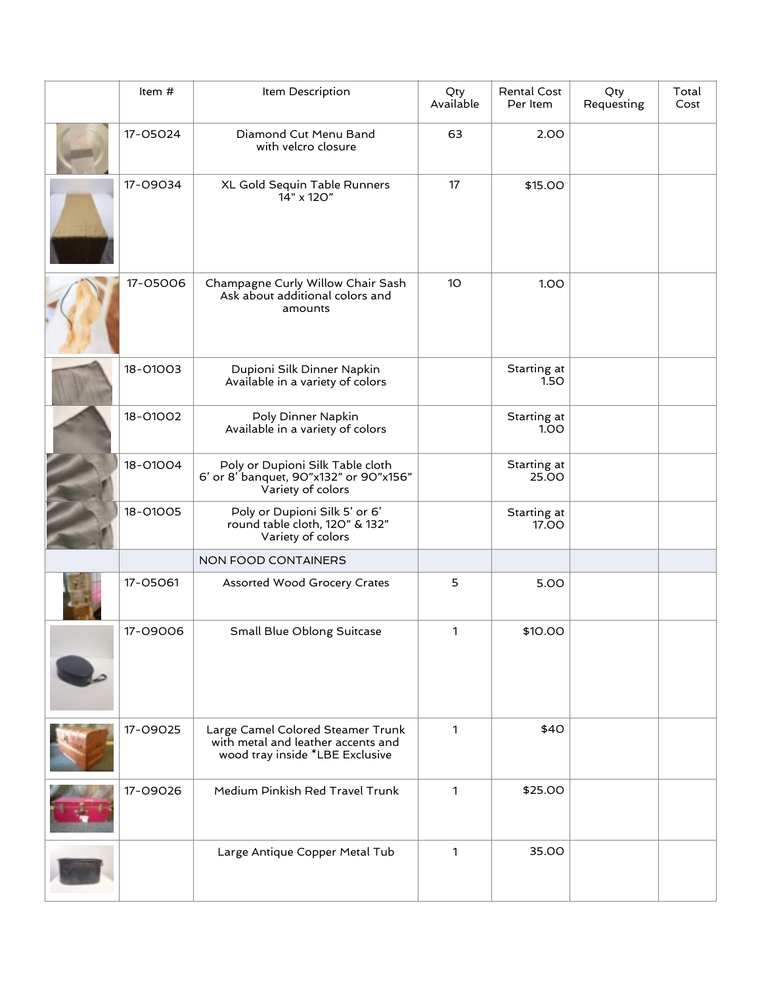| Item #                                                 | Item Description                                                                                           | Qty<br>Available | Rental Cost<br>Per Item     | Qty<br>Requesting | Total<br>Cost |
|--------------------------------------------------------|------------------------------------------------------------------------------------------------------------|------------------|-----------------------------|-------------------|---------------|
| 17-05024                                               | Diamond Cut Menu Band<br>with velcro closure                                                               | 63               | 2.00                        |                   |               |
| 17-09034<br>XL Gold Sequin Table Runners<br>14" x 120" |                                                                                                            | 17               | \$15.00                     |                   |               |
| 17-05006                                               | Champagne Curly Willow Chair Sash<br>Ask about additional colors and<br>amounts                            | 10 <sup>°</sup>  | 1.00                        |                   |               |
| 18-01003                                               | Dupioni Silk Dinner Napkin<br>Available in a variety of colors                                             |                  | Starting at<br>1.5O         |                   |               |
| 18-01002                                               | Poly Dinner Napkin<br>Available in a variety of colors                                                     |                  | Starting at<br>1.00         |                   |               |
| 18-01004                                               | Poly or Dupioni Silk Table cloth<br>6' or 8' banquet, 90"x132" or 90"x156"<br>Variety of colors            |                  | Starting at<br>25.00        |                   |               |
| 18-01005                                               | Poly or Dupioni Silk 5' or 6'<br>round table cloth, 120" & 132"<br>Variety of colors                       |                  | Starting at<br><b>17.00</b> |                   |               |
|                                                        | NON FOOD CONTAINERS                                                                                        |                  |                             |                   |               |
| 17-05061                                               | Assorted Wood Grocery Crates                                                                               | 5                | 5.00                        |                   |               |
| 17-09006                                               | Small Blue Oblong Suitcase                                                                                 | 1                | \$10.00                     |                   |               |
| 17-09025                                               | Large Camel Colored Steamer Trunk<br>with metal and leather accents and<br>wood tray inside *LBE Exclusive | $\mathbf{1}$     | \$40                        |                   |               |
| 17-09026                                               | Medium Pinkish Red Travel Trunk                                                                            | $\mathbf{1}$     | \$25.00                     |                   |               |
|                                                        | Large Antique Copper Metal Tub                                                                             | $\mathbf{1}$     | 35.00                       |                   |               |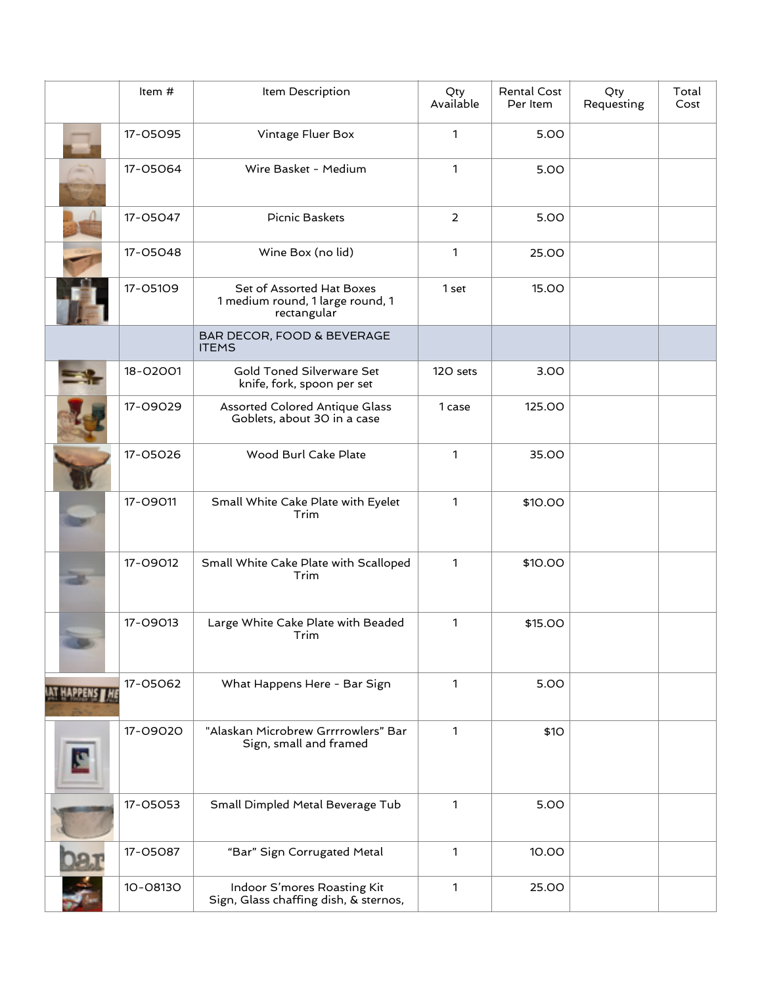|                                                                                  | Item #                           | Item Description                                                             |                | Rental Cost<br>Per Item | Qty<br>Requesting | Total<br>Cost |
|----------------------------------------------------------------------------------|----------------------------------|------------------------------------------------------------------------------|----------------|-------------------------|-------------------|---------------|
|                                                                                  | 17-05095                         | Vintage Fluer Box                                                            | 1              | 5.00                    |                   |               |
|                                                                                  | 17-05064<br>Wire Basket - Medium |                                                                              | $\mathbf{1}$   | 5.00                    |                   |               |
|                                                                                  | 17-05047                         | Picnic Baskets                                                               | $\overline{2}$ | 5.00                    |                   |               |
|                                                                                  | 17-05048                         | Wine Box (no lid)                                                            | $\mathbf{1}$   | 25.00                   |                   |               |
|                                                                                  | 17-05109                         | Set of Assorted Hat Boxes<br>1 medium round, 1 large round, 1<br>rectangular | 1 set          | 15.00                   |                   |               |
|                                                                                  |                                  | BAR DECOR, FOOD & BEVERAGE<br><b>ITEMS</b>                                   |                |                         |                   |               |
|                                                                                  | 18-02001                         | Gold Toned Silverware Set<br>knife, fork, spoon per set                      | 120 sets       | 3.00                    |                   |               |
| 17-09029<br><b>Assorted Colored Antique Glass</b><br>Goblets, about 30 in a case |                                  | 1 case                                                                       | 125.00         |                         |                   |               |
|                                                                                  | 17-05026                         | Wood Burl Cake Plate                                                         | $\mathbf{1}$   | 35.00                   |                   |               |
|                                                                                  | 17-09011                         | Small White Cake Plate with Eyelet<br>Trim                                   | $\mathbf{1}$   | \$10.00                 |                   |               |
|                                                                                  | 17-09012                         | Small White Cake Plate with Scalloped<br>Trim                                | $\mathbf{1}$   | \$10.00                 |                   |               |
|                                                                                  | 17-09013                         | Large White Cake Plate with Beaded<br>Trim                                   | $\mathbf{1}$   | \$15.00                 |                   |               |
|                                                                                  | 17-05062                         | What Happens Here - Bar Sign                                                 | 1              | 5.00                    |                   |               |
|                                                                                  | 17-09020                         | "Alaskan Microbrew Grrrrowlers" Bar<br>Sign, small and framed                | 1              | \$10                    |                   |               |
|                                                                                  | 17-05053                         | Small Dimpled Metal Beverage Tub                                             | 1              | 5.00                    |                   |               |
|                                                                                  | 17-05087                         | "Bar" Sign Corrugated Metal                                                  | 1              | 10.00                   |                   |               |
|                                                                                  | 10-08130                         | Indoor S'mores Roasting Kit<br>Sign, Glass chaffing dish, & sternos,         | 1              | 25.00                   |                   |               |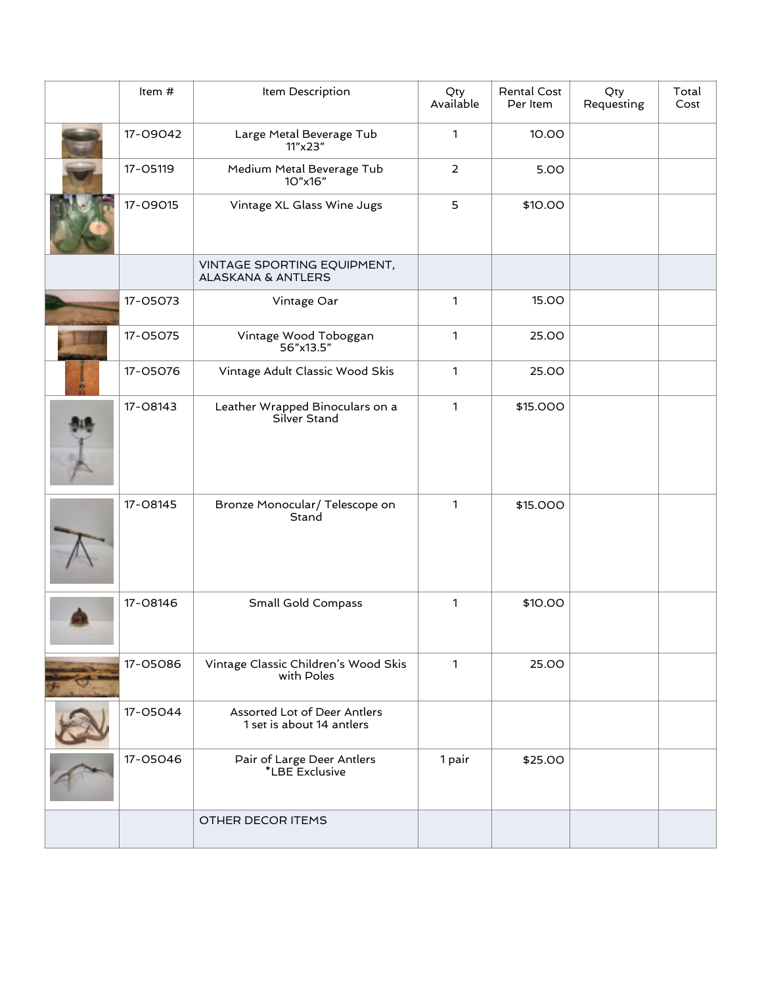| Item #                                              | Item Description                                             |                | Rental Cost<br>Per Item | Qty<br>Requesting | Total<br>Cost |
|-----------------------------------------------------|--------------------------------------------------------------|----------------|-------------------------|-------------------|---------------|
| 17-09042                                            | Large Metal Beverage Tub<br>11"x23"                          | $\mathbf{1}$   | 10.00                   |                   |               |
| 17-05119                                            | Medium Metal Beverage Tub<br>10"x16"                         | $\overline{2}$ | 5.00                    |                   |               |
| 17-09015<br>Vintage XL Glass Wine Jugs              |                                                              | 5              | \$10.00                 |                   |               |
|                                                     | VINTAGE SPORTING EQUIPMENT,<br><b>ALASKANA &amp; ANTLERS</b> |                |                         |                   |               |
| 17-05073                                            | Vintage Oar                                                  | $\mathbf{1}$   | 15.00                   |                   |               |
| 17-05075                                            | Vintage Wood Toboggan<br>56"x13.5"                           | 1              | 25.00                   |                   |               |
| 17-05076                                            | Vintage Adult Classic Wood Skis                              | $\mathbf{1}$   | 25.00                   |                   |               |
| 17-08143                                            | Leather Wrapped Binoculars on a<br>Silver Stand              | $\mathbf{1}$   | \$15.000                |                   |               |
| Bronze Monocular/ Telescope on<br>17-08145<br>Stand |                                                              | $\mathbf{1}$   | \$15.000                |                   |               |
| 17-08146                                            | Small Gold Compass                                           | $\mathbf{1}$   | \$10.00                 |                   |               |
| 17-05086                                            | Vintage Classic Children's Wood Skis<br>with Poles           | $\mathbf{1}$   | 25.00                   |                   |               |
| 17-05044                                            | Assorted Lot of Deer Antlers<br>1 set is about 14 antlers    |                |                         |                   |               |
| 17-05046                                            | Pair of Large Deer Antlers<br>*LBE Exclusive                 | 1 pair         | \$25.00                 |                   |               |
|                                                     | OTHER DECOR ITEMS                                            |                |                         |                   |               |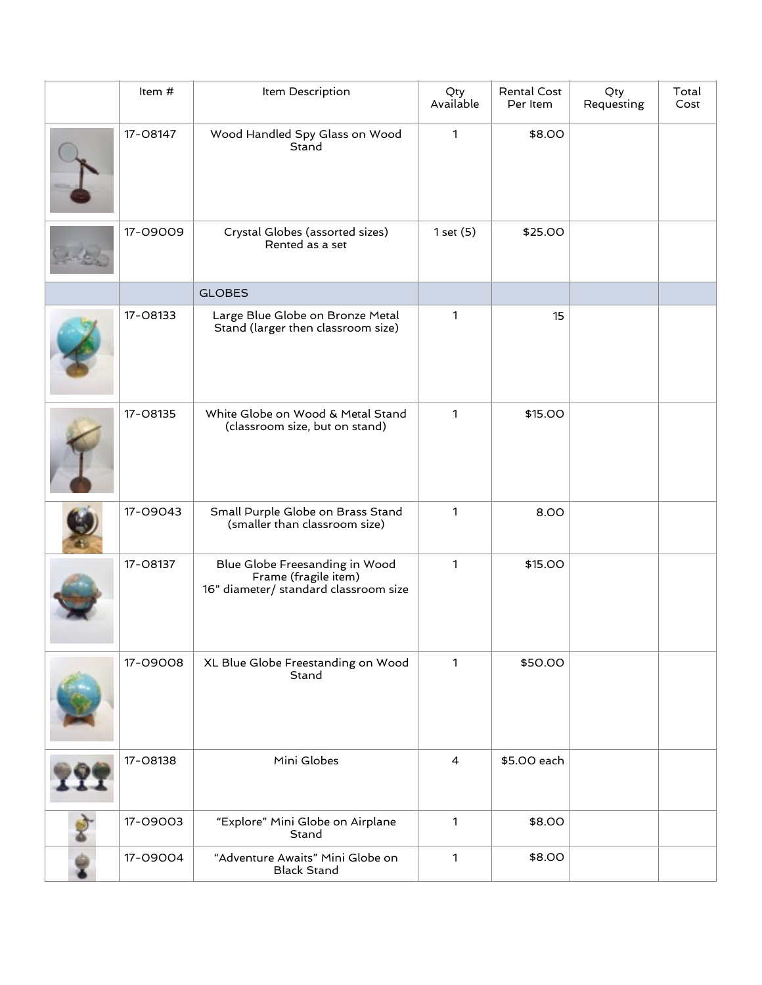| Item #                                                                                                      | Item Description                                                       | Qty<br>Available | Rental Cost<br>Per Item | Qty<br>Requesting | Total<br>Cost |
|-------------------------------------------------------------------------------------------------------------|------------------------------------------------------------------------|------------------|-------------------------|-------------------|---------------|
| 17-08147                                                                                                    | Wood Handled Spy Glass on Wood<br>Stand                                | $\mathbf{1}$     | \$8.00                  |                   |               |
| 17-09009                                                                                                    | Crystal Globes (assorted sizes)<br>Rented as a set                     | 1 set (5)        | \$25.00                 |                   |               |
|                                                                                                             | <b>GLOBES</b>                                                          |                  |                         |                   |               |
| 17-08133                                                                                                    | Large Blue Globe on Bronze Metal<br>Stand (larger then classroom size) | $\mathbf{1}$     | 15                      |                   |               |
| White Globe on Wood & Metal Stand<br>17-08135<br>(classroom size, but on stand)                             |                                                                        | $\mathbf{1}$     | \$15.00                 |                   |               |
| 17-09043                                                                                                    | Small Purple Globe on Brass Stand<br>(smaller than classroom size)     | 1                | 8.00                    |                   |               |
| 17-08137<br>Blue Globe Freesanding in Wood<br>Frame (fragile item)<br>16" diameter/ standard classroom size |                                                                        | $\mathbf{1}$     | \$15.00                 |                   |               |
| 17-09008                                                                                                    | XL Blue Globe Freestanding on Wood<br>Stand                            | 1                | \$50.00                 |                   |               |
| 17-08138                                                                                                    | Mini Globes                                                            | $\overline{4}$   | \$5.00 each             |                   |               |
| 17-09003                                                                                                    | "Explore" Mini Globe on Airplane<br>Stand                              | $\mathbf{1}$     | \$8.00                  |                   |               |
| 17-09004                                                                                                    | "Adventure Awaits" Mini Globe on<br><b>Black Stand</b>                 | 1                | \$8.00                  |                   |               |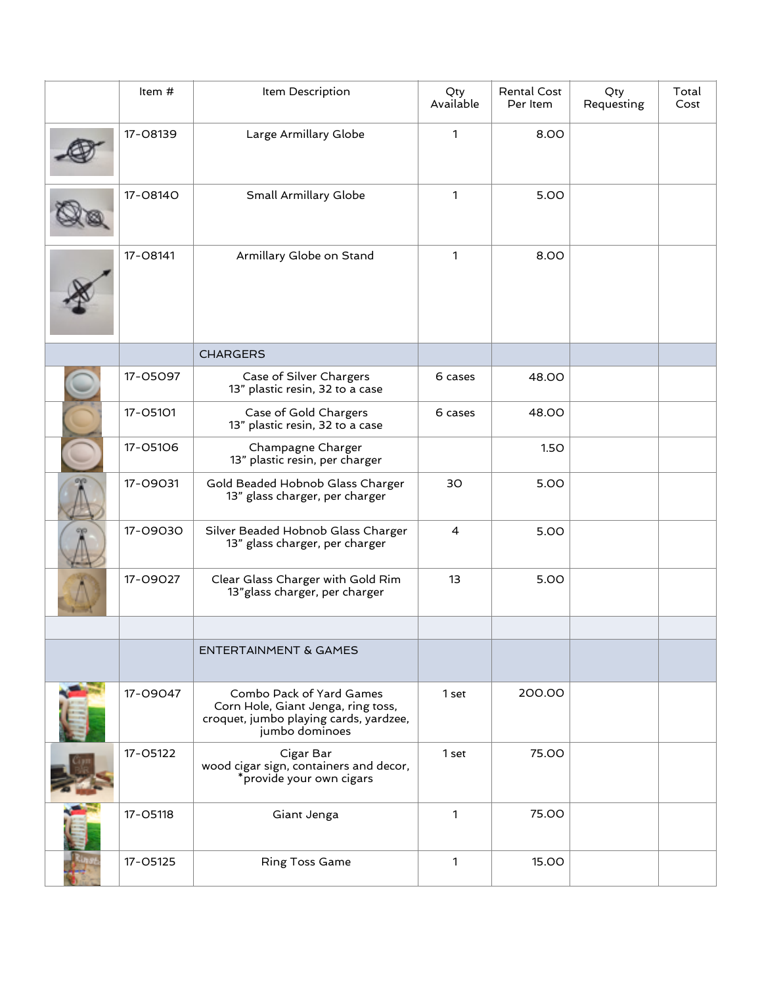|                                      | Item #                            | Item Description                                                                                                           | Qty<br>Available | Rental Cost<br>Per Item | Qty<br>Requesting | Total<br>Cost |
|--------------------------------------|-----------------------------------|----------------------------------------------------------------------------------------------------------------------------|------------------|-------------------------|-------------------|---------------|
|                                      | 17-08139<br>Large Armillary Globe |                                                                                                                            | 1                | 8.00                    |                   |               |
|                                      | 17-08140<br>Small Armillary Globe |                                                                                                                            | 1                | 5.00                    |                   |               |
| 17-08141<br>Armillary Globe on Stand |                                   | 1                                                                                                                          | 8.00             |                         |                   |               |
|                                      |                                   | <b>CHARGERS</b>                                                                                                            |                  |                         |                   |               |
|                                      | 17-05097                          | Case of Silver Chargers<br>13" plastic resin, 32 to a case                                                                 | 6 cases          | 48.00                   |                   |               |
|                                      | 17-05101                          | Case of Gold Chargers<br>13" plastic resin, 32 to a case                                                                   | 6 cases          | <b>48.00</b>            |                   |               |
|                                      | 17-05106                          | Champagne Charger<br>13" plastic resin, per charger                                                                        |                  | 1.50                    |                   |               |
|                                      | 17-09031                          | Gold Beaded Hobnob Glass Charger<br>13" glass charger, per charger                                                         | 30               | 5.00                    |                   |               |
|                                      | 17-09030                          | Silver Beaded Hobnob Glass Charger<br>13" glass charger, per charger                                                       | 4                | 5.00                    |                   |               |
|                                      | 17-09027                          | Clear Glass Charger with Gold Rim<br>13" glass charger, per charger                                                        | 13               | 5.00                    |                   |               |
|                                      |                                   | <b>ENTERTAINMENT &amp; GAMES</b>                                                                                           |                  |                         |                   |               |
|                                      | 17-09047                          | Combo Pack of Yard Games<br>Corn Hole, Giant Jenga, ring toss,<br>croquet, jumbo playing cards, yardzee,<br>jumbo dominoes | 1 set            | 200.00                  |                   |               |
|                                      | 17-05122                          | Cigar Bar<br>wood cigar sign, containers and decor,<br>*provide your own cigars                                            | 1 set            | 75.00                   |                   |               |
|                                      | 17-05118                          | Giant Jenga                                                                                                                | 1                | 75.00                   |                   |               |
|                                      | 17-05125                          | <b>Ring Toss Game</b>                                                                                                      | 1                | 15.00                   |                   |               |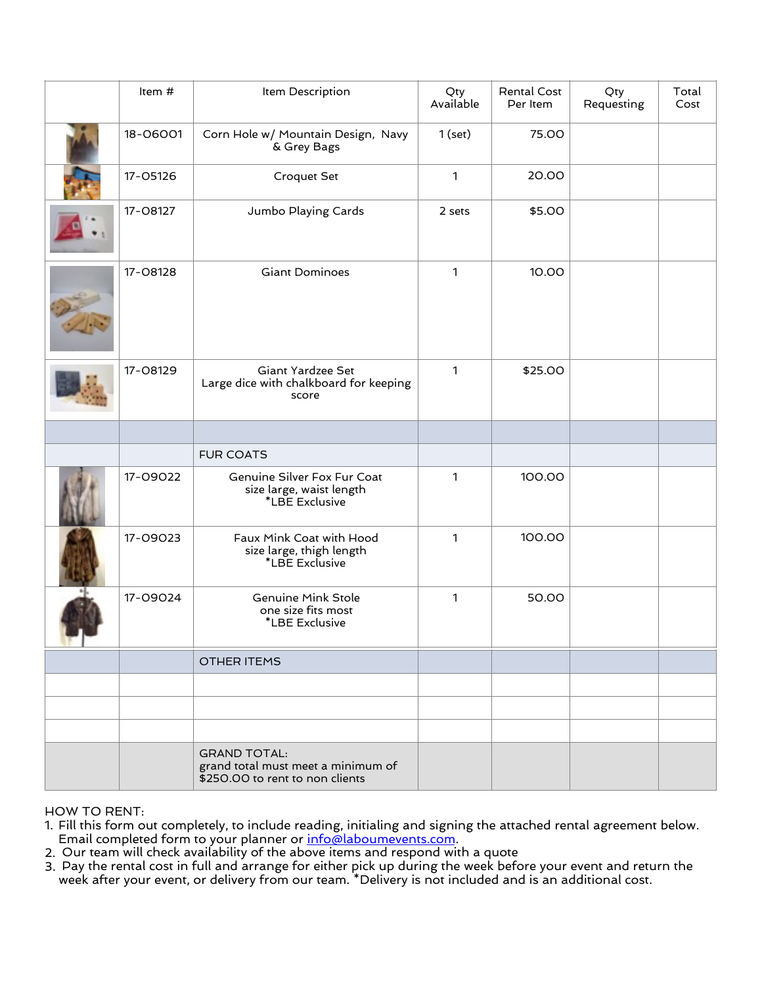|                                   | Item #                                                                        | Item Description                                                                             | Qty<br>Available | Rental Cost<br>Per Item | Qty<br>Requesting | Total<br>Cost |
|-----------------------------------|-------------------------------------------------------------------------------|----------------------------------------------------------------------------------------------|------------------|-------------------------|-------------------|---------------|
|                                   | 18-06001                                                                      | Corn Hole w/ Mountain Design, Navy<br>& Grey Bags                                            | $1$ (set)        | 75.00                   |                   |               |
|                                   | 17-05126                                                                      | Croquet Set                                                                                  | $\mathbf{1}$     | 20.00                   |                   |               |
|                                   | 17-08127                                                                      | Jumbo Playing Cards                                                                          | 2 sets           | \$5.00                  |                   |               |
| <b>Giant Dominoes</b><br>17-08128 |                                                                               | $\mathbf{1}$                                                                                 | 10.00            |                         |                   |               |
|                                   | 17-08129                                                                      | Giant Yardzee Set<br>Large dice with chalkboard for keeping<br>score                         |                  | \$25.00                 |                   |               |
|                                   |                                                                               |                                                                                              |                  |                         |                   |               |
|                                   |                                                                               | <b>FUR COATS</b>                                                                             |                  |                         |                   |               |
|                                   | 17-09022                                                                      | Genuine Silver Fox Fur Coat<br>size large, waist length<br>*LBE Exclusive                    |                  | 100.00                  |                   |               |
|                                   | 17-09023                                                                      | Faux Mink Coat with Hood<br>size large, thigh length<br>*LBE Exclusive                       | $\mathbf{1}$     | 100.00                  |                   |               |
|                                   | 17-09024<br><b>Genuine Mink Stole</b><br>one size fits most<br>*LBE Exclusive |                                                                                              | 1                | 50.00                   |                   |               |
|                                   |                                                                               | <b>OTHER ITEMS</b>                                                                           |                  |                         |                   |               |
|                                   |                                                                               |                                                                                              |                  |                         |                   |               |
|                                   |                                                                               |                                                                                              |                  |                         |                   |               |
|                                   |                                                                               |                                                                                              |                  |                         |                   |               |
|                                   |                                                                               | <b>GRAND TOTAL:</b><br>grand total must meet a minimum of<br>\$250.00 to rent to non clients |                  |                         |                   |               |

HOW TO RENT:

1. Fill this form out completely, to include reading, initialing and signing the attached rental agreement below. Email completed form to your planner or [info@laboumevents.com](mailto:info@laboumevents.com).

- 2. Our team will check availability of the above items and respond with a quote
- 3. Pay the rental cost in full and arrange for either pick up during the week before your event and return the week after your event, or delivery from our team. \*Delivery is not included and is an additional cost.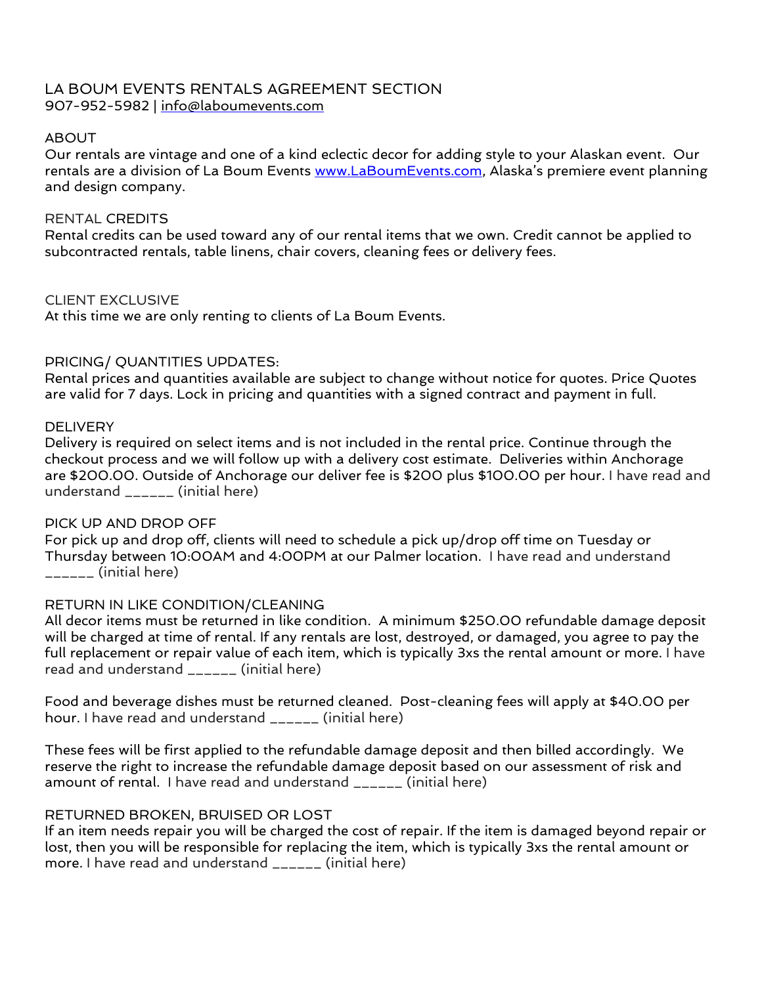# LA BOUM EVENTS RENTALS AGREEMENT SECTION 907-952-5982 | [info@laboumevents.com](mailto:info@laboumevents.com)

#### ABOUT

Our rentals are vintage and one of a kind eclectic decor for adding style to your Alaskan event. Our rentals are a division of La Boum Events [www.LaBoumEvents.com,](http://www.LaBoumEvents.com) Alaska's premiere event planning and design company.

## RENTAL CREDITS

Rental credits can be used toward any of our rental items that we own. Credit cannot be applied to subcontracted rentals, table linens, chair covers, cleaning fees or delivery fees.

## CLIENT EXCLUSIVE

At this time we are only renting to clients of La Boum Events.

## PRICING/ QUANTITIES UPDATES:

Rental prices and quantities available are subject to change without notice for quotes. Price Quotes are valid for 7 days. Lock in pricing and quantities with a signed contract and payment in full.

#### DELIVERY

Delivery is required on select items and is not included in the rental price. Continue through the checkout process and we will follow up with a delivery cost estimate. Deliveries within Anchorage are \$200.00. Outside of Anchorage our deliver fee is \$200 plus \$100.00 per hour. I have read and understand \_\_\_\_\_\_ (initial here)

#### PICK UP AND DROP OFF

For pick up and drop off, clients will need to schedule a pick up/drop off time on Tuesday or Thursday between 10:00AM and 4:00PM at our Palmer location. I have read and understand \_\_\_\_\_\_ (initial here)

#### RETURN IN LIKE CONDITION/CLEANING

All decor items must be returned in like condition. A minimum \$250.00 refundable damage deposit will be charged at time of rental. If any rentals are lost, destroyed, or damaged, you agree to pay the full replacement or repair value of each item, which is typically 3xs the rental amount or more. I have read and understand \_\_\_\_\_\_ (initial here)

Food and beverage dishes must be returned cleaned. Post-cleaning fees will apply at \$40.00 per hour. I have read and understand \_\_\_\_\_\_ (initial here)

These fees will be first applied to the refundable damage deposit and then billed accordingly. We reserve the right to increase the refundable damage deposit based on our assessment of risk and amount of rental. I have read and understand \_\_\_\_\_\_ (initial here)

# RETURNED BROKEN, BRUISED OR LOST

If an item needs repair you will be charged the cost of repair. If the item is damaged beyond repair or lost, then you will be responsible for replacing the item, which is typically 3xs the rental amount or more. I have read and understand \_\_\_\_\_\_ (initial here)